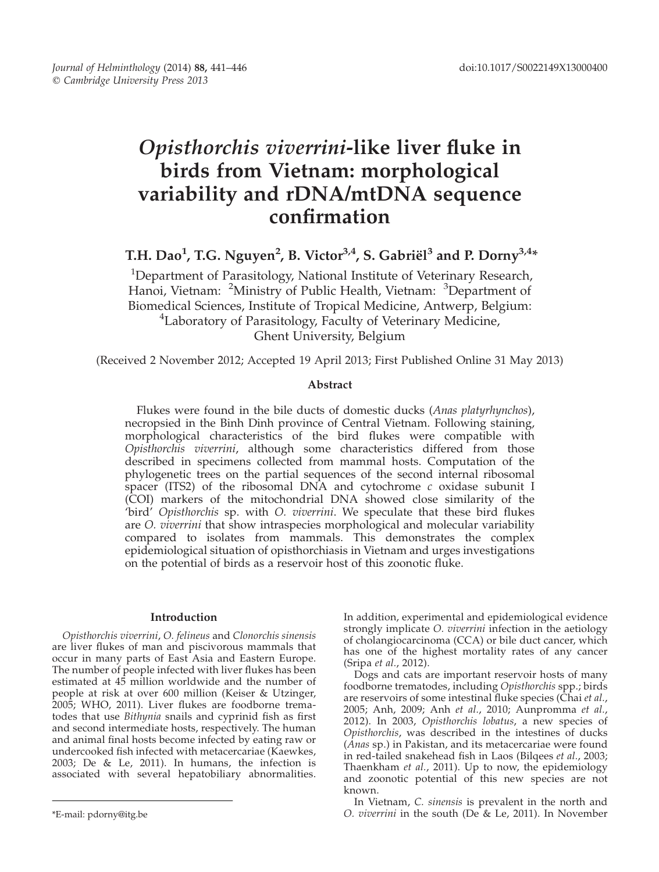# Opisthorchis viverrini-like liver fluke in birds from Vietnam: morphological variability and rDNA/mtDNA sequence confirmation

T.H. Dao<sup>1</sup>, T.G. Nguyen<sup>2</sup>, B. Victor<sup>3,4</sup>, S. Gabriël<sup>3</sup> and P. Dorny<sup>3,4</sup>\*

<sup>1</sup>Department of Parasitology, National Institute of Veterinary Research, Hanoi, Vietnam: <sup>2</sup>Ministry of Public Health, Vietnam: <sup>3</sup>Department of Biomedical Sciences, Institute of Tropical Medicine, Antwerp, Belgium: <sup>4</sup> Laboratory of Parasitology, Faculty of Veterinary Medicine, Ghent University, Belgium

(Received 2 November 2012; Accepted 19 April 2013; First Published Online 31 May 2013)

# Abstract

Flukes were found in the bile ducts of domestic ducks (Anas platyrhynchos), necropsied in the Binh Dinh province of Central Vietnam. Following staining, morphological characteristics of the bird flukes were compatible with Opisthorchis viverrini, although some characteristics differed from those described in specimens collected from mammal hosts. Computation of the phylogenetic trees on the partial sequences of the second internal ribosomal spacer (ITS2) of the ribosomal DNA and cytochrome  $c$  oxidase subunit I (COI) markers of the mitochondrial DNA showed close similarity of the 'bird' Opisthorchis sp. with O. viverrini. We speculate that these bird flukes are O. viverrini that show intraspecies morphological and molecular variability compared to isolates from mammals. This demonstrates the complex epidemiological situation of opisthorchiasis in Vietnam and urges investigations on the potential of birds as a reservoir host of this zoonotic fluke.

# Introduction

Opisthorchis viverrini, O. felineus and Clonorchis sinensis are liver flukes of man and piscivorous mammals that occur in many parts of East Asia and Eastern Europe. The number of people infected with liver flukes has been estimated at 45 million worldwide and the number of people at risk at over 600 million (Keiser & Utzinger, 2005; WHO, 2011). Liver flukes are foodborne trematodes that use Bithynia snails and cyprinid fish as first and second intermediate hosts, respectively. The human and animal final hosts become infected by eating raw or undercooked fish infected with metacercariae (Kaewkes, 2003; De & Le, 2011). In humans, the infection is associated with several hepatobiliary abnormalities.

In addition, experimental and epidemiological evidence strongly implicate O. viverrini infection in the aetiology of cholangiocarcinoma (CCA) or bile duct cancer, which has one of the highest mortality rates of any cancer (Sripa et al., 2012).

Dogs and cats are important reservoir hosts of many foodborne trematodes, including Opisthorchis spp.; birds are reservoirs of some intestinal fluke species (Chai et al., 2005; Anh, 2009; Anh et al., 2010; Aunpromma et al., 2012). In 2003, Opisthorchis lobatus, a new species of Opisthorchis, was described in the intestines of ducks (Anas sp.) in Pakistan, and its metacercariae were found in red-tailed snakehead fish in Laos (Bilqees et al., 2003; Thaenkham et al., 2011). Up to now, the epidemiology and zoonotic potential of this new species are not known.

In Vietnam, C. sinensis is prevalent in the north and \*E-mail: pdorny@itg.be O. viverrini in the south (De & Le, 2011). In November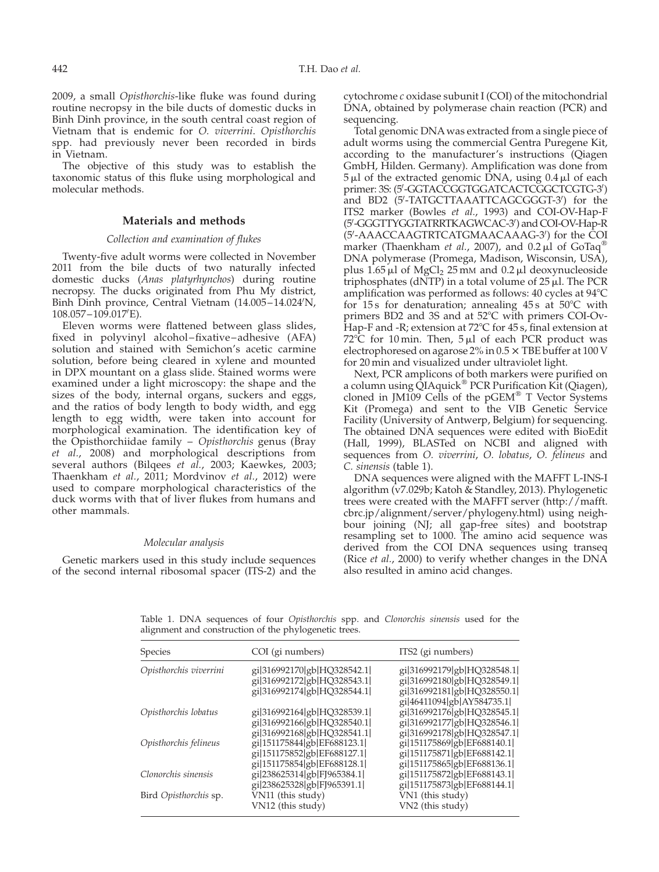<span id="page-1-0"></span>2009, a small Opisthorchis-like fluke was found during routine necropsy in the bile ducts of domestic ducks in Binh Dinh province, in the south central coast region of Vietnam that is endemic for O. viverrini. Opisthorchis spp. had previously never been recorded in birds in Vietnam.

The objective of this study was to establish the taxonomic status of this fluke using morphological and molecular methods.

## Materials and methods

## Collection and examination of flukes

Twenty-five adult worms were collected in November 2011 from the bile ducts of two naturally infected domestic ducks (Anas platyrhynchos) during routine necropsy. The ducks originated from Phu My district, Binh Dinh province, Central Vietnam (14.005-14.024/N, 108.057–109.017'E).

Eleven worms were flattened between glass slides, fixed in polyvinyl alcohol–fixative–adhesive (AFA) solution and stained with Semichon's acetic carmine solution, before being cleared in xylene and mounted in DPX mountant on a glass slide. Stained worms were examined under a light microscopy: the shape and the sizes of the body, internal organs, suckers and eggs, and the ratios of body length to body width, and egg length to egg width, were taken into account for morphological examination. The identification key of the Opisthorchiidae family - Opisthorchis genus (Bray et al., 2008) and morphological descriptions from several authors (Bilqees et al., 2003; Kaewkes, 2003; Thaenkham et al., 2011; Mordvinov et al., 2012) were used to compare morphological characteristics of the duck worms with that of liver flukes from humans and other mammals.

## Molecular analysis

Genetic markers used in this study include sequences of the second internal ribosomal spacer (ITS-2) and the

cytochrome c oxidase subunit I (COI) of the mitochondrial DNA, obtained by polymerase chain reaction (PCR) and sequencing.

Total genomic DNA was extracted from a single piece of adult worms using the commercial Gentra Puregene Kit, according to the manufacturer's instructions (Qiagen GmbH, Hilden. Germany). Amplification was done from  $5 \mu l$  of the extracted genomic DNA, using  $0.4 \mu l$  of each primer: 3S: (5'-GGTACCGGTGGATCACTCGGCTCGTG-3') and BD2 (5'-TATGCTTAAATTCAGCGGGT-3') for the ITS2 marker (Bowles et al., 1993) and COI-OV-Hap-F (5'-GGGTTYGGTATRRTKAGWCAC-3') and COI-OV-Hap-R (5'-AAACCAAGTRTCATGMAACAAAG-3') for the COI marker (Thaenkham et al., 2007), and 0.2  $\mu$ l of GoTaq<sup>®</sup> DNA polymerase (Promega, Madison, Wisconsin, USA), plus  $1.65 \mu$ l of MgCl<sub>2</sub> 25 mM and 0.2 $\mu$ l deoxynucleoside triphosphates (dNTP) in a total volume of  $25 \mu$ l. The PCR amplification was performed as follows:  $40$  cycles at  $94^{\circ}$ C for 15s for denaturation; annealing  $45s$  at  $50^{\circ}$ C with primers BD2 and 3S and at  $52^{\circ}$ C with primers COI-Ov-Hap-F and -R; extension at  $72^{\circ}$ C for 45 s, final extension at  $72^{\circ}$ C for 10 min. Then,  $5 \mu$ l of each PCR product was electrophoresed on agarose  $2\%$  in  $0.5 \times$  TBE buffer at 100 V for 20 min and visualized under ultraviolet light.

Next, PCR amplicons of both markers were purified on a column using  $\dot{Q}$ IAquick<sup>®</sup> PCR Purification Kit (Qiagen), cloned in JM109 Cells of the  $pGEM^{\circledR}$  T Vector Systems Kit (Promega) and sent to the VIB Genetic Service Facility (University of Antwerp, Belgium) for sequencing. The obtained DNA sequences were edited with BioEdit (Hall, 1999), BLASTed on NCBI and aligned with sequences from O. viverrini, O. lobatus, O. felineus and C. sinensis (table 1).

DNA sequences were aligned with the MAFFT L-INS-I algorithm (v7.029b; Katoh & Standley, 2013). Phylogenetic trees were created with the MAFFT server (http://mafft. cbrc.jp/alignment/server/phylogeny.html) using neighbour joining (NJ; all gap-free sites) and bootstrap resampling set to 1000. The amino acid sequence was derived from the COI DNA sequences using transeq (Rice et al., 2000) to verify whether changes in the DNA also resulted in amino acid changes.

Species COI (gi numbers) ITS2 (gi numbers) Opisthorchis viverrini gij316992170jgbjHQ328542.1j gij316992179jgbjHQ328548.1j gi|316992172|gb|HQ328543.1| gi|316992180|gb|HQ328549.1|<br>gi|316992174|gb|HQ328544.1| gi|316992181|gb|HQ328550.1|  $g$ i $|316992181|gb$ HQ328550.1  $\vec{g}$ i|46411094| $\vec{g}$ b|AY584735.1| Opisthorchis lobatus gi|316992164|gb|HQ328539.1| gi|316992176|gb|HQ328545.1| gi|316992166|gb|HQ328540.1| gi|316992177|gb|HQ328546.1|<br>gi|316992168|gb|HQ328541.1| gi|316992178|gb|HQ328547.1| gi|316992178|gb|HQ328547.1| Opisthorchis felineus gil151175844lgb|EF688123.1| gil151175869|gb|EF688140.1|<br>|gil151175852lgb|EF688127.1| gil151175871|gb|EF688142.1 gij151175852jgbjEF688127.1j gij151175871jgbjEF688142.1j gil151175854|gb|EF688128.1| gil151175865|gb|EF688136.1|<br>gil238625314|gb|FJ965384.1| gil151175872|gb|EF688143.1| Clonorchis sinensis gil238625314lgblFJ965384.1| gil151175872lgblEF688143.1|<br>|gil238625328lgblFJ965391.1| gil151175873lgblEF688144.1| gi|151175873|gb|EF688144.1| Bird Opisthorchis sp. VN11 (this study) VN1 (this study) VN1 (this study) VN2 (this study) VN12 (this study)

Table 1. DNA sequences of four Opisthorchis spp. and Clonorchis sinensis used for the alignment and construction of the phylogenetic trees.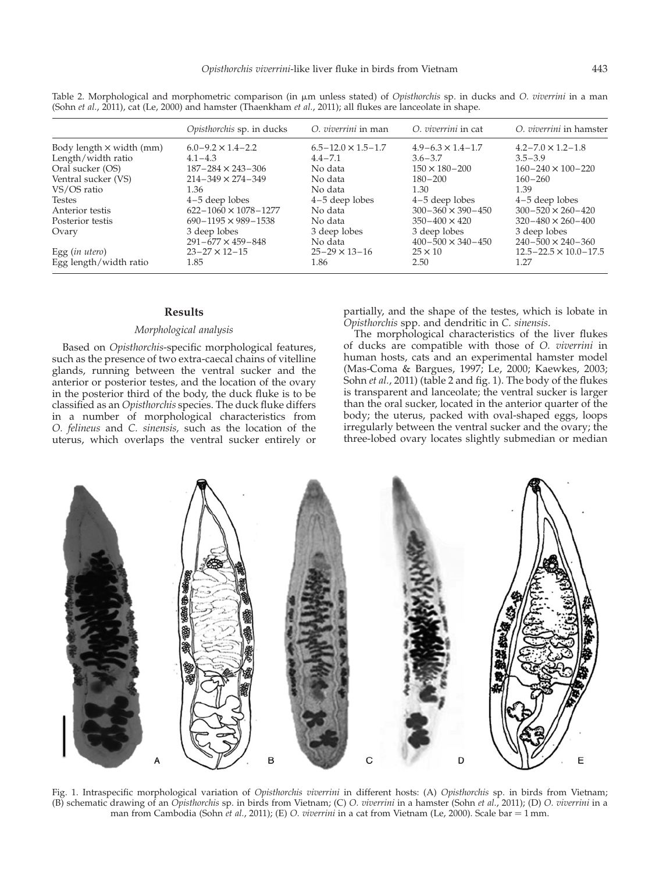|                                 | Opisthorchis sp. in ducks       | O. viverrini in man           | O. viverrini in cat          | O. viverrini in hamster          |
|---------------------------------|---------------------------------|-------------------------------|------------------------------|----------------------------------|
| Body length $\times$ width (mm) | $6.0 - 9.2 \times 1.4 - 2.2$    | $6.5 - 12.0 \times 1.5 - 1.7$ | $4.9 - 6.3 \times 1.4 - 1.7$ | $4.2 - 7.0 \times 1.2 - 1.8$     |
| Length/width ratio              | $4.1 - 4.3$                     | $4.4 - 7.1$                   | $3.6 - 3.7$                  | $3.5 - 3.9$                      |
| Oral sucker (OS)                | $187 - 284 \times 243 - 306$    | No data                       | $150 \times 180 - 200$       | $160 - 240 \times 100 - 220$     |
| Ventral sucker (VS)             | $214 - 349 \times 274 - 349$    | No data                       | $180 - 200$                  | $160 - 260$                      |
| VS/OS ratio                     | 1.36                            | No data                       | 1.30                         | 1.39                             |
| <b>Testes</b>                   | $4-5$ deep lobes                | $4-5$ deep lobes              | $4-5$ deep lobes             | $4-5$ deep lobes                 |
| Anterior testis                 | $622 - 1060 \times 1078 - 1277$ | No data                       | $300 - 360 \times 390 - 450$ | $300 - 520 \times 260 - 420$     |
| Posterior testis                | $690 - 1195 \times 989 - 1538$  | No data                       | $350 - 400 \times 420$       | $320 - 480 \times 260 - 400$     |
| Ovary                           | 3 deep lobes                    | 3 deep lobes                  | 3 deep lobes                 | 3 deep lobes                     |
|                                 | $291 - 677 \times 459 - 848$    | No data                       | $400 - 500 \times 340 - 450$ | $240 - 500 \times 240 - 360$     |
| Egg $(in$ utero $)$             | $23 - 27 \times 12 - 15$        | $25 - 29 \times 13 - 16$      | $25 \times 10$               | $12.5 - 22.5 \times 10.0 - 17.5$ |
| Egg length/width ratio          | 1.85                            | 1.86                          | 2.50                         | 1.27                             |

<span id="page-2-0"></span>Table 2. Morphological and morphometric comparison (in  $\mu$ m unless stated) of *Opisthorchis* sp. in ducks and *O. viverrini* in a man (Sohn et al., 2011), cat (Le, 2000) and hamster (Thaenkham et al., 2011); all flukes are lanceolate in shape.

#### Results

#### Morphological analysis

Based on Opisthorchis-specific morphological features, such as the presence of two extra-caecal chains of vitelline glands, running between the ventral sucker and the anterior or posterior testes, and the location of the ovary in the posterior third of the body, the duck fluke is to be classified as an Opisthorchis species. The duck fluke differs in a number of morphological characteristics from O. felineus and C. sinensis, such as the location of the uterus, which overlaps the ventral sucker entirely or partially, and the shape of the testes, which is lobate in Opisthorchis spp. and dendritic in C. sinensis.

The morphological characteristics of the liver flukes of ducks are compatible with those of O. viverrini in human hosts, cats and an experimental hamster model (Mas-Coma & Bargues, 1997; Le, 2000; Kaewkes, 2003; Sohn et al., 2011) (table 2 and fig. 1). The body of the flukes is transparent and lanceolate; the ventral sucker is larger than the oral sucker, located in the anterior quarter of the body; the uterus, packed with oval-shaped eggs, loops irregularly between the ventral sucker and the ovary; the three-lobed ovary locates slightly submedian or median



Fig. 1. Intraspecific morphological variation of Opisthorchis viverrini in different hosts: (A) Opisthorchis sp. in birds from Vietnam; (B) schematic drawing of an *Opisthorchis* sp. in birds from Vietnam; (C) O. viverrini in a hamster (Sohn et al., 2011); (D) O. viverrini in a man from Cambodia (Sohn et al., 2011); (E) O. viverrini in a cat from Vietnam (Le, 2000). Scale bar = 1 mm.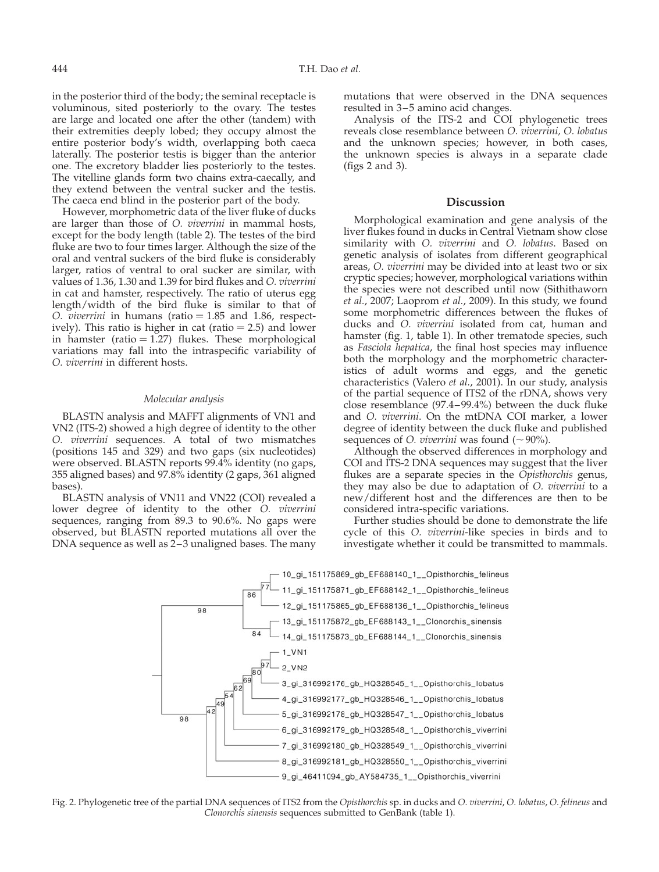in the posterior third of the body; the seminal receptacle is voluminous, sited posteriorly to the ovary. The testes are large and located one after the other (tandem) with their extremities deeply lobed; they occupy almost the entire posterior body's width, overlapping both caeca laterally. The posterior testis is bigger than the anterior one. The excretory bladder lies posteriorly to the testes. The vitelline glands form two chains extra-caecally, and they extend between the ventral sucker and the testis. The caeca end blind in the posterior part of the body.

However, morphometric data of the liver fluke of ducks are larger than those of O. viverrini in mammal hosts, except for the body length ([table 2\)](#page-2-0). The testes of the bird fluke are two to four times larger. Although the size of the oral and ventral suckers of the bird fluke is considerably larger, ratios of ventral to oral sucker are similar, with values of 1.36, 1.30 and 1.39 for bird flukes and O. viverrini in cat and hamster, respectively. The ratio of uterus egg length/width of the bird fluke is similar to that of O. viverrini in humans (ratio  $= 1.85$  and 1.86, respectively). This ratio is higher in cat (ratio  $= 2.5$ ) and lower in hamster (ratio  $= 1.27$ ) flukes. These morphological variations may fall into the intraspecific variability of O. viverrini in different hosts.

## Molecular analysis

BLASTN analysis and MAFFT alignments of VN1 and VN2 (ITS-2) showed a high degree of identity to the other O. viverrini sequences. A total of two mismatches (positions 145 and 329) and two gaps (six nucleotides) were observed. BLASTN reports 99.4% identity (no gaps, 355 aligned bases) and 97.8% identity (2 gaps, 361 aligned bases).

BLASTN analysis of VN11 and VN22 (COI) revealed a lower degree of identity to the other O. viverrini sequences, ranging from 89.3 to 90.6%. No gaps were observed, but BLASTN reported mutations all over the DNA sequence as well as 2–3 unaligned bases. The many mutations that were observed in the DNA sequences resulted in 3–5 amino acid changes.

Analysis of the ITS-2 and COI phylogenetic trees reveals close resemblance between O. viverrini, O. lobatus and the unknown species; however, in both cases, the unknown species is always in a separate clade (figs 2 and 3).

## Discussion

Morphological examination and gene analysis of the liver flukes found in ducks in Central Vietnam show close similarity with O. viverrini and O. lobatus. Based on genetic analysis of isolates from different geographical areas, O. viverrini may be divided into at least two or six cryptic species; however, morphological variations within the species were not described until now (Sithithaworn et al., 2007; Laoprom et al., 2009). In this study, we found some morphometric differences between the flukes of ducks and O. viverrini isolated from cat, human and hamster ([fig. 1,](#page-2-0) [table 1](#page-1-0)). In other trematode species, such as Fasciola hepatica, the final host species may influence both the morphology and the morphometric characteristics of adult worms and eggs, and the genetic characteristics (Valero et al., 2001). In our study, analysis of the partial sequence of ITS2 of the rDNA, shows very close resemblance (97.4–99.4%) between the duck fluke and O. viverrini. On the mtDNA COI marker, a lower degree of identity between the duck fluke and published sequences of *O. viverrini* was found  $(\sim 90\%)$ .

Although the observed differences in morphology and COI and ITS-2 DNA sequences may suggest that the liver flukes are a separate species in the Opisthorchis genus, they may also be due to adaptation of O. viverrini to a new/different host and the differences are then to be considered intra-specific variations.

Further studies should be done to demonstrate the life cycle of this O. viverrini-like species in birds and to investigate whether it could be transmitted to mammals.



Fig. 2. Phylogenetic tree of the partial DNA sequences of ITS2 from the Opisthorchis sp. in ducks and O. viverrini, O. lobatus, O. felineus and Clonorchis sinensis sequences submitted to GenBank ([table 1](#page-1-0)).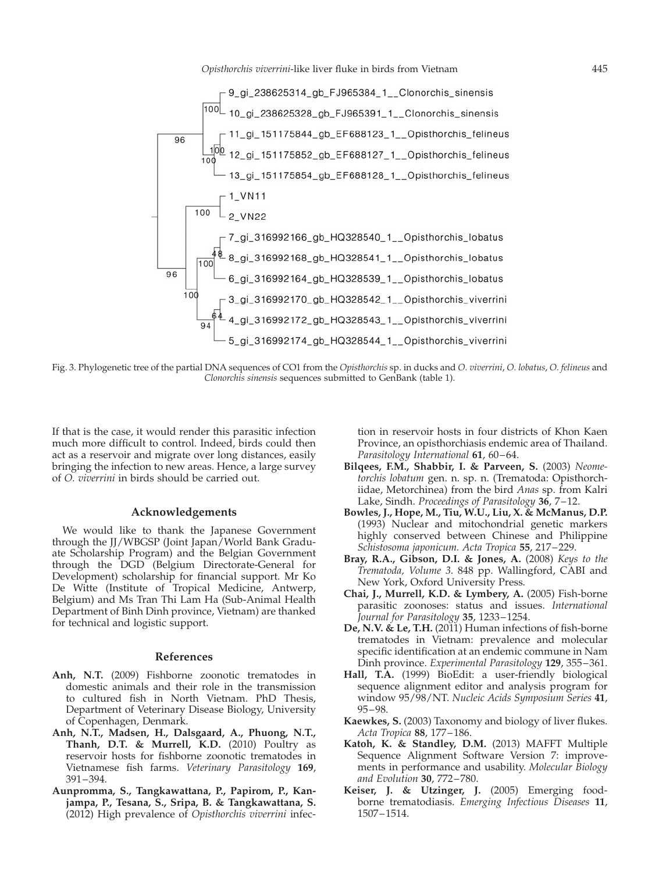Opisthorchis viverrini-like liver fluke in birds from Vietnam 445



Fig. 3. Phylogenetic tree of the partial DNA sequences of CO1 from the Opisthorchis sp. in ducks and O. viverrini, O. lobatus, O. felineus and Clonorchis sinensis sequences submitted to GenBank ([table 1](#page-1-0)).

If that is the case, it would render this parasitic infection much more difficult to control. Indeed, birds could then act as a reservoir and migrate over long distances, easily bringing the infection to new areas. Hence, a large survey of O. viverrini in birds should be carried out.

# Acknowledgements

We would like to thank the Japanese Government through the JJ/WBGSP (Joint Japan/World Bank Graduate Scholarship Program) and the Belgian Government through the DGD (Belgium Directorate-General for Development) scholarship for financial support. Mr Ko De Witte (Institute of Tropical Medicine, Antwerp, Belgium) and Ms Tran Thi Lam Ha (Sub-Animal Health Department of Binh Dinh province, Vietnam) are thanked for technical and logistic support.

## References

- Anh, N.T. (2009) Fishborne zoonotic trematodes in domestic animals and their role in the transmission to cultured fish in North Vietnam. PhD Thesis, Department of Veterinary Disease Biology, University of Copenhagen, Denmark.
- Anh, N.T., Madsen, H., Dalsgaard, A., Phuong, N.T., Thanh, D.T. & Murrell, K.D. (2010) Poultry as reservoir hosts for fishborne zoonotic trematodes in Vietnamese fish farms. Veterinary Parasitology 169, 391–394.
- Aunpromma, S., Tangkawattana, P., Papirom, P., Kanjampa, P., Tesana, S., Sripa, B. & Tangkawattana, S. (2012) High prevalence of Opisthorchis viverrini infec-

tion in reservoir hosts in four districts of Khon Kaen Province, an opisthorchiasis endemic area of Thailand. Parasitology International **61**, 60–64.

- Bilqees, F.M., Shabbir, I. & Parveen, S. (2003) Neometorchis lobatum gen. n. sp. n. (Trematoda: Opisthorchiidae, Metorchinea) from the bird Anas sp. from Kalri Lake, Sindh. Proceedings of Parasitology  $36$ ,  $7-12$ .
- Bowles, J., Hope, M., Tiu, W.U., Liu, X. & McManus, D.P. (1993) Nuclear and mitochondrial genetic markers highly conserved between Chinese and Philippine Schistosoma japonicum. Acta Tropica 55, 217–229.
- Bray, R.A., Gibson, D.I. & Jones, A. (2008) Keys to the Trematoda, Volume 3. 848 pp. Wallingford, CABI and New York, Oxford University Press.
- Chai, J., Murrell, K.D. & Lymbery, A. (2005) Fish-borne parasitic zoonoses: status and issues. International Journal for Parasitology 35, 1233–1254.
- De, N.V. & Le, T.H. (2011) Human infections of fish-borne trematodes in Vietnam: prevalence and molecular specific identification at an endemic commune in Nam Dinh province. Experimental Parasitology 129, 355-361.
- Hall, T.A. (1999) BioEdit: a user-friendly biological sequence alignment editor and analysis program for window 95/98/NT. Nucleic Acids Symposium Series 41, 95–98.
- Kaewkes, S. (2003) Taxonomy and biology of liver flukes. Acta Tropica 88, 177–186.
- Katoh, K. & Standley, D.M. (2013) MAFFT Multiple Sequence Alignment Software Version 7: improvements in performance and usability. Molecular Biology and Evolution 30, 772–780.
- Keiser, J. & Utzinger, J. (2005) Emerging foodborne trematodiasis. Emerging Infectious Diseases 11, 1507–1514.